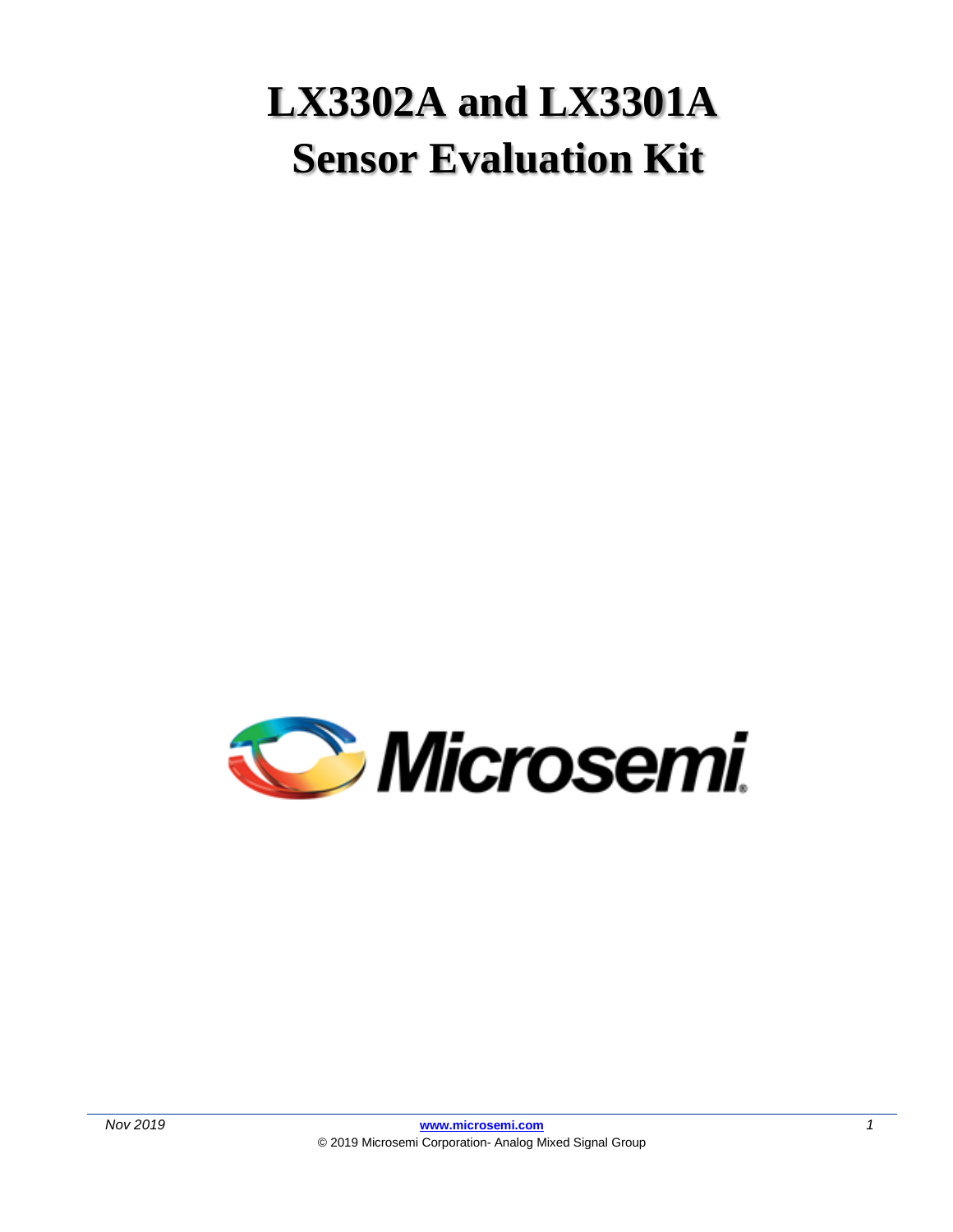# **LX3302A and LX3301A Sensor Evaluation Kit**

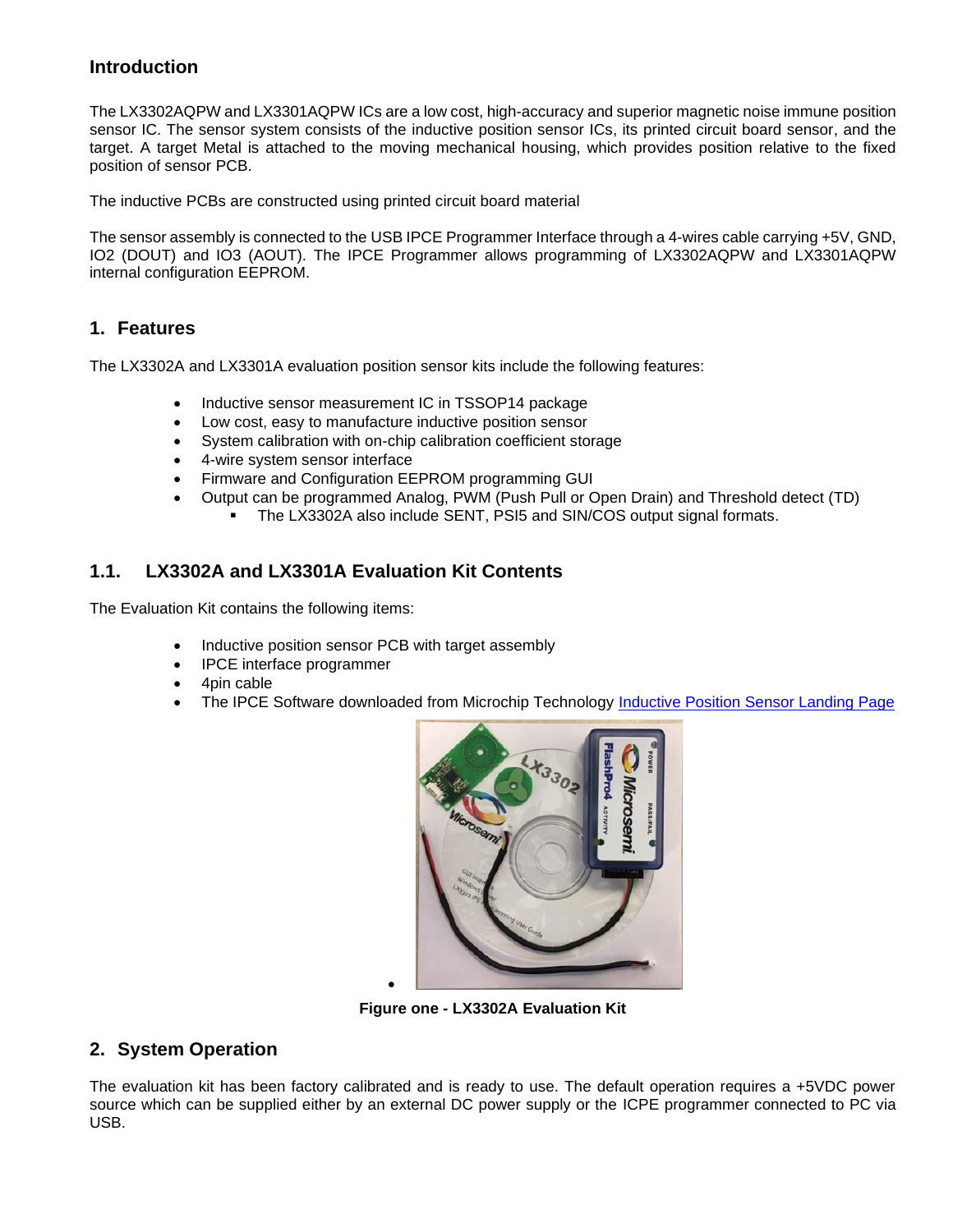## **Introduction**

The LX3302AQPW and LX3301AQPW ICs are a low cost, high-accuracy and superior magnetic noise immune position sensor IC. The sensor system consists of the inductive position sensor ICs, its printed circuit board sensor, and the target. A target Metal is attached to the moving mechanical housing, which provides position relative to the fixed position of sensor PCB.

The inductive PCBs are constructed using printed circuit board material

The sensor assembly is connected to the USB IPCE Programmer Interface through a 4-wires cable carrying +5V, GND, IO2 (DOUT) and IO3 (AOUT). The IPCE Programmer allows programming of LX3302AQPW and LX3301AQPW internal configuration EEPROM.

#### **1. Features**

The LX3302A and LX3301A evaluation position sensor kits include the following features:

- Inductive sensor measurement IC in TSSOP14 package
- Low cost, easy to manufacture inductive position sensor
- System calibration with on-chip calibration coefficient storage
- 4-wire system sensor interface
- Firmware and Configuration EEPROM programming GUI
- Output can be programmed Analog, PWM (Push Pull or Open Drain) and Threshold detect (TD)
	- **EX41** The LX3302A also include SENT, PSI5 and SIN/COS output signal formats.

## **1.1. LX3302A and LX3301A Evaluation Kit Contents**

The Evaluation Kit contains the following items:

• Inductive position sensor PCB with target assembly

•

- IPCE interface programmer
- 4pin cable
- The IPCE Software downloaded from Microchip Technology [Inductive Position Sensor Landing Page](https://www.microchip.com/design-centers/sensors/inductive-position-sensors)



**Figure one - LX3302A Evaluation Kit**

## **2. System Operation**

The evaluation kit has been factory calibrated and is ready to use. The default operation requires a +5VDC power source which can be supplied either by an external DC power supply or the ICPE programmer connected to PC via USB.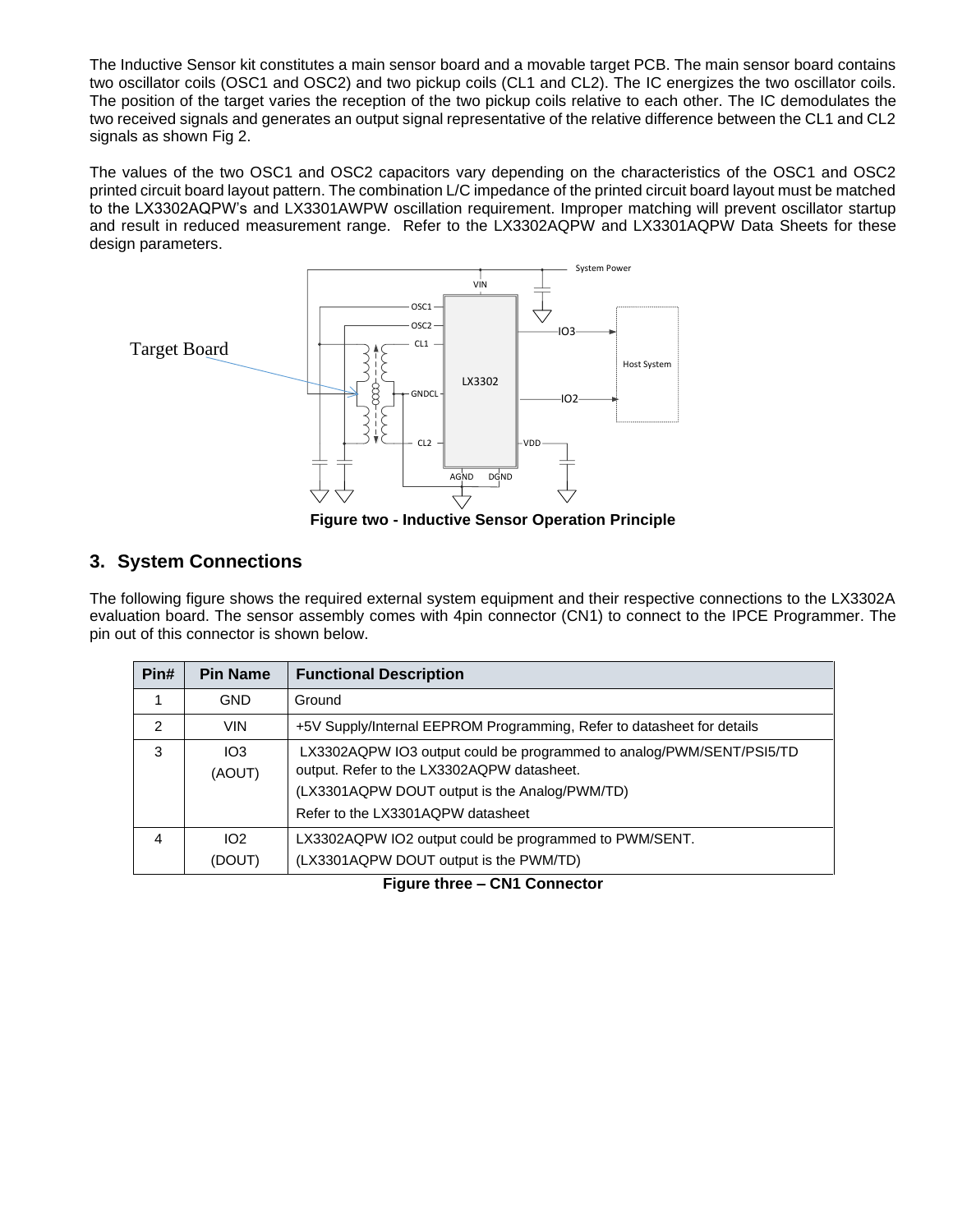The Inductive Sensor kit constitutes a main sensor board and a movable target PCB. The main sensor board contains two oscillator coils (OSC1 and OSC2) and two pickup coils (CL1 and CL2). The IC energizes the two oscillator coils. The position of the target varies the reception of the two pickup coils relative to each other. The IC demodulates the two received signals and generates an output signal representative of the relative difference between the CL1 and CL2 signals as shown Fig 2.

The values of the two OSC1 and OSC2 capacitors vary depending on the characteristics of the OSC1 and OSC2 printed circuit board layout pattern. The combination L/C impedance of the printed circuit board layout must be matched to the LX3302AQPW's and LX3301AWPW oscillation requirement. Improper matching will prevent oscillator startup and result in reduced measurement range. Refer to the LX3302AQPW and LX3301AQPW Data Sheets for these design parameters.



**Figure two - Inductive Sensor Operation Principle**

# **3. System Connections**

The following figure shows the required external system equipment and their respective connections to the LX3302A evaluation board. The sensor assembly comes with 4pin connector (CN1) to connect to the IPCE Programmer. The pin out of this connector is shown below.

| Pin#          | <b>Pin Name</b>            | <b>Functional Description</b>                                                                                                                                                                            |
|---------------|----------------------------|----------------------------------------------------------------------------------------------------------------------------------------------------------------------------------------------------------|
| 1             | <b>GND</b>                 | Ground                                                                                                                                                                                                   |
| $\mathcal{P}$ | <b>VIN</b>                 | +5V Supply/Internal EEPROM Programming, Refer to datasheet for details                                                                                                                                   |
| 3             | IO3<br>(AOUT)              | LX3302AQPW IO3 output could be programmed to analog/PWM/SENT/PSI5/TD<br>output. Refer to the LX3302AQPW datasheet.<br>(LX3301AQPW DOUT output is the Analog/PWM/TD)<br>Refer to the LX3301AQPW datasheet |
| 4             | 102 <sub>2</sub><br>(DOUT) | LX3302AQPW IO2 output could be programmed to PWM/SENT.<br>(LX3301AQPW DOUT output is the PWM/TD)                                                                                                         |

**Figure three – CN1 Connector**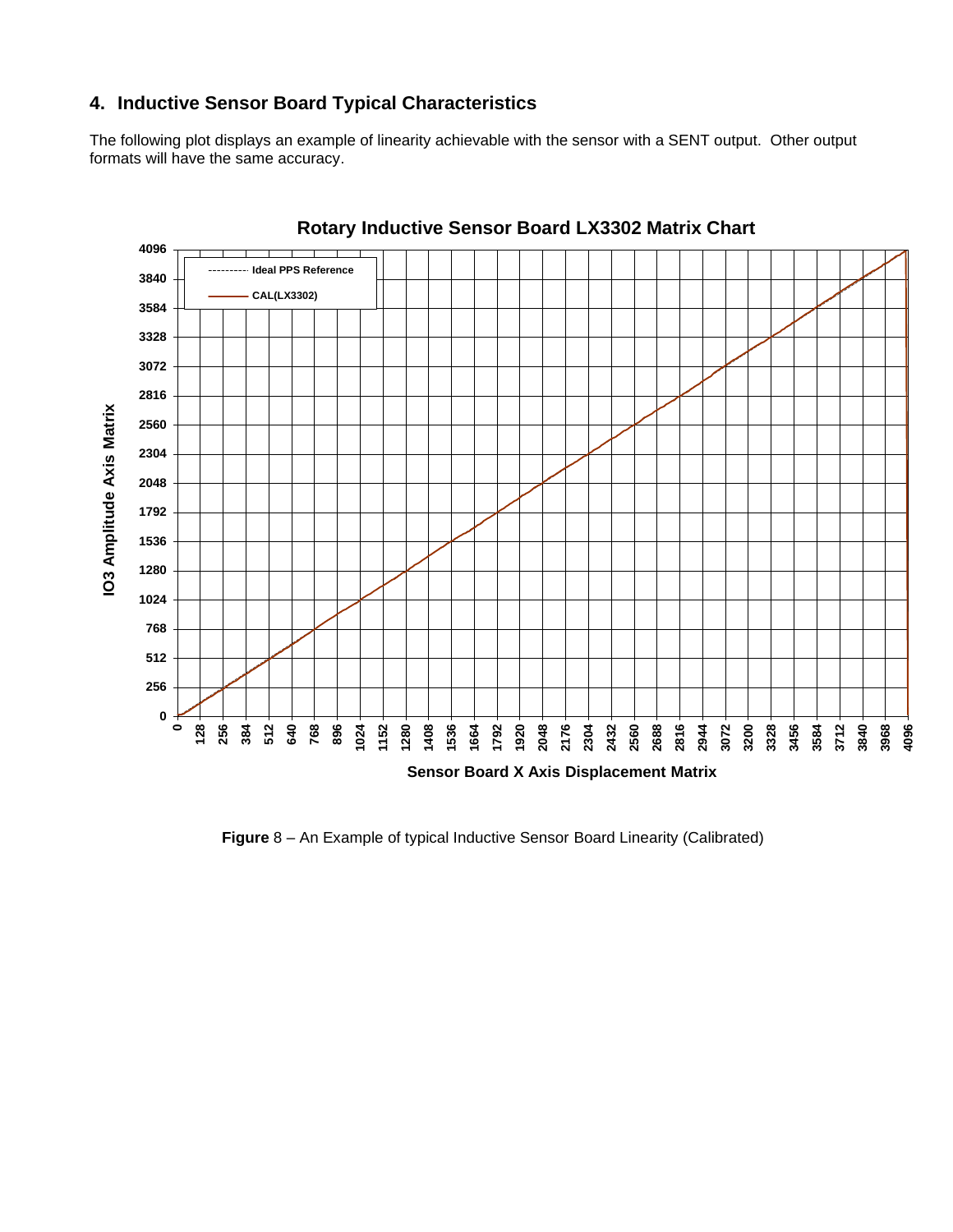## **4. Inductive Sensor Board Typical Characteristics**

The following plot displays an example of linearity achievable with the sensor with a SENT output. Other output formats will have the same accuracy.



### **Rotary Inductive Sensor Board LX3302 Matrix Chart**

**Figure** 8 – An Example of typical Inductive Sensor Board Linearity (Calibrated)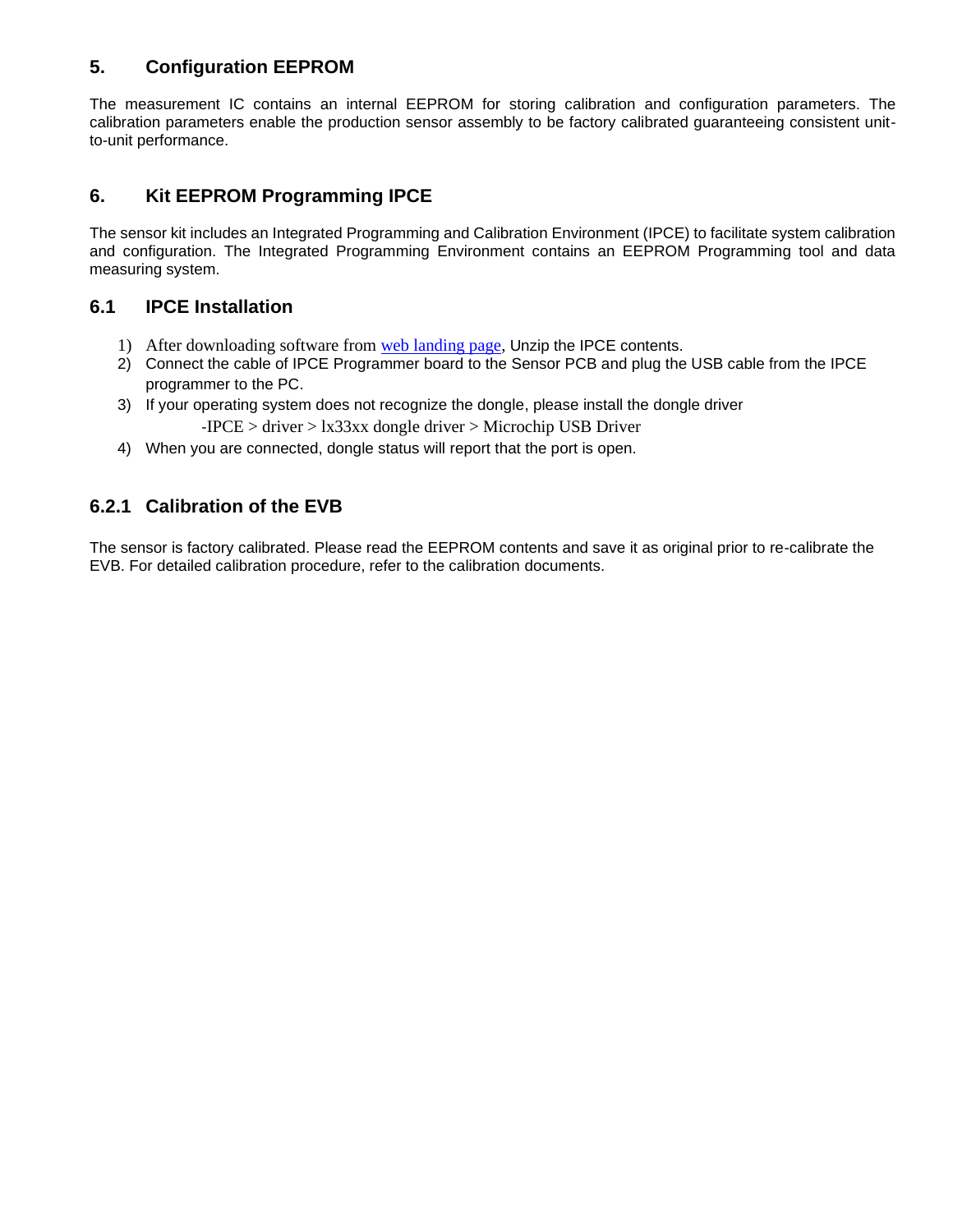# **5. Configuration EEPROM**

The measurement IC contains an internal EEPROM for storing calibration and configuration parameters. The calibration parameters enable the production sensor assembly to be factory calibrated guaranteeing consistent unitto-unit performance.

# **6. Kit EEPROM Programming IPCE**

The sensor kit includes an Integrated Programming and Calibration Environment (IPCE) to facilitate system calibration and configuration. The Integrated Programming Environment contains an EEPROM Programming tool and data measuring system.

## **6.1 IPCE Installation**

- 1) After downloading software from [web](https://www.microchip.com/design-centers/sensors/inductive-position-sensors) landing page, Unzip the IPCE contents.
- 2) Connect the cable of IPCE Programmer board to the Sensor PCB and plug the USB cable from the IPCE programmer to the PC.
- 3) If your operating system does not recognize the dongle, please install the dongle driver
	- -IPCE > driver > lx33xx dongle driver > Microchip USB Driver
- 4) When you are connected, dongle status will report that the port is open.

## **6.2.1 Calibration of the EVB**

The sensor is factory calibrated. Please read the EEPROM contents and save it as original prior to re-calibrate the EVB. For detailed calibration procedure, refer to the calibration documents.